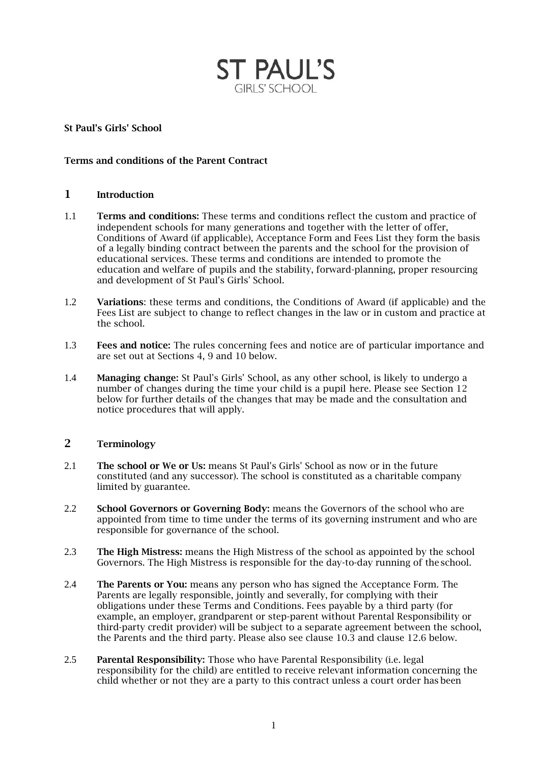

### St Paul's Girls' School

### Terms and conditions of the Parent Contract

## 1 Introduction

- 1.1 Terms and conditions: These terms and conditions reflect the custom and practice of independent schools for many generations and together with the letter of offer, Conditions of Award (if applicable), Acceptance Form and Fees List they form the basis of a legally binding contract between the parents and the school for the provision of educational services. These terms and conditions are intended to promote the education and welfare of pupils and the stability, forward-planning, proper resourcing and development of St Paul's Girls' School.
- 1.2 Variations: these terms and conditions, the Conditions of Award (if applicable) and the Fees List are subject to change to reflect changes in the law or in custom and practice at the school.
- 1.3 **Fees and notice:** The rules concerning fees and notice are of particular importance and are set out at Sections 4, 9 and 10 below.
- 1.4 Managing change: St Paul's Girls' School, as any other school, is likely to undergo a number of changes during the time your child is a pupil here. Please see Section 12 below for further details of the changes that may be made and the consultation and notice procedures that will apply.

### 2 Terminology

- 2.1 The school or We or Us: means St Paul's Girls' School as now or in the future constituted (and any successor). The school is constituted as a charitable company limited by guarantee.
- 2.2 School Governors or Governing Body: means the Governors of the school who are appointed from time to time under the terms of its governing instrument and who are responsible for governance of the school.
- 2.3 The High Mistress: means the High Mistress of the school as appointed by the school Governors. The High Mistress is responsible for the day-to-day running of theschool.
- 2.4 The Parents or You: means any person who has signed the Acceptance Form. The Parents are legally responsible, jointly and severally, for complying with their obligations under these Terms and Conditions. Fees payable by a third party (for example, an employer, grandparent or step-parent without Parental Responsibility or third-party credit provider) will be subject to a separate agreement between the school, the Parents and the third party. Please also see clause 10.3 and clause 12.6 below.
- 2.5 Parental Responsibility: Those who have Parental Responsibility (i.e. legal responsibility for the child) are entitled to receive relevant information concerning the child whether or not they are a party to this contract unless a court order has been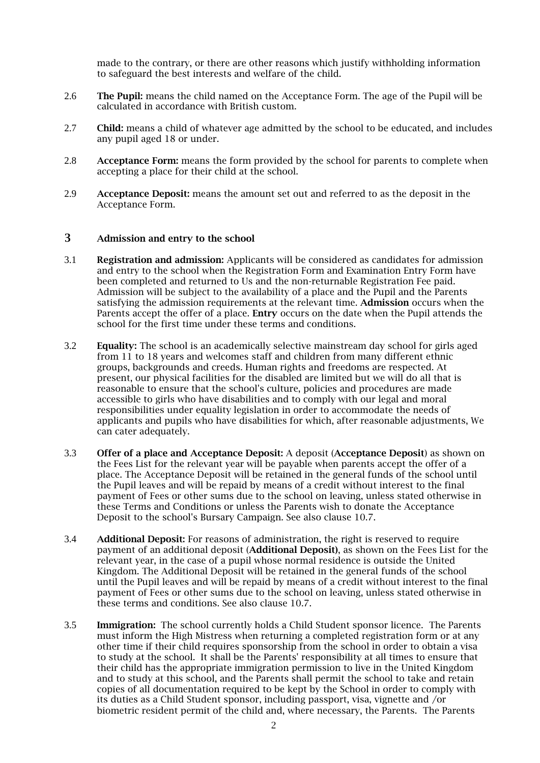made to the contrary, or there are other reasons which justify withholding information to safeguard the best interests and welfare of the child.

- 2.6 The Pupil: means the child named on the Acceptance Form. The age of the Pupil will be calculated in accordance with British custom.
- 2.7 Child: means a child of whatever age admitted by the school to be educated, and includes any pupil aged 18 or under.
- 2.8 Acceptance Form: means the form provided by the school for parents to complete when accepting a place for their child at the school.
- 2.9 Acceptance Deposit: means the amount set out and referred to as the deposit in the Acceptance Form.

### 3 Admission and entry to the school

- 3.1 Registration and admission: Applicants will be considered as candidates for admission and entry to the school when the Registration Form and Examination Entry Form have been completed and returned to Us and the non-returnable Registration Fee paid. Admission will be subject to the availability of a place and the Pupil and the Parents satisfying the admission requirements at the relevant time. Admission occurs when the Parents accept the offer of a place. **Entry** occurs on the date when the Pupil attends the school for the first time under these terms and conditions.
- 3.2 Equality: The school is an academically selective mainstream day school for girls aged from 11 to 18 years and welcomes staff and children from many different ethnic groups, backgrounds and creeds. Human rights and freedoms are respected. At present, our physical facilities for the disabled are limited but we will do all that is reasonable to ensure that the school's culture, policies and procedures are made accessible to girls who have disabilities and to comply with our legal and moral responsibilities under equality legislation in order to accommodate the needs of applicants and pupils who have disabilities for which, after reasonable adjustments, We can cater adequately.
- 3.3 Offer of a place and Acceptance Deposit: A deposit (Acceptance Deposit) as shown on the Fees List for the relevant year will be payable when parents accept the offer of a place. The Acceptance Deposit will be retained in the general funds of the school until the Pupil leaves and will be repaid by means of a credit without interest to the final payment of Fees or other sums due to the school on leaving, unless stated otherwise in these Terms and Conditions or unless the Parents wish to donate the Acceptance Deposit to the school's Bursary Campaign. See also clause 10.7.
- 3.4 Additional Deposit: For reasons of administration, the right is reserved to require payment of an additional deposit (Additional Deposit), as shown on the Fees List for the relevant year, in the case of a pupil whose normal residence is outside the United Kingdom. The Additional Deposit will be retained in the general funds of the school until the Pupil leaves and will be repaid by means of a credit without interest to the final payment of Fees or other sums due to the school on leaving, unless stated otherwise in these terms and conditions. See also clause 10.7.
- 3.5 Immigration: The school currently holds a Child Student sponsor licence. The Parents must inform the High Mistress when returning a completed registration form or at any other time if their child requires sponsorship from the school in order to obtain a visa to study at the school. It shall be the Parents' responsibility at all times to ensure that their child has the appropriate immigration permission to live in the United Kingdom and to study at this school, and the Parents shall permit the school to take and retain copies of all documentation required to be kept by the School in order to comply with its duties as a Child Student sponsor, including passport, visa, vignette and /or biometric resident permit of the child and, where necessary, the Parents. The Parents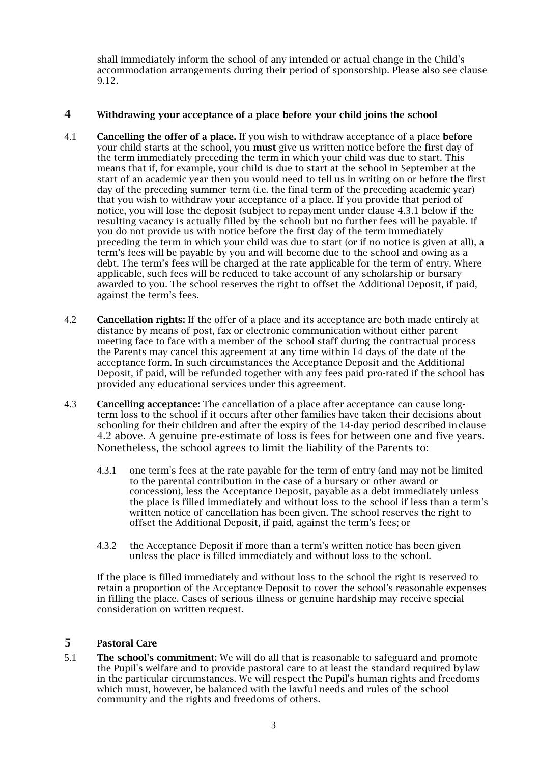shall immediately inform the school of any intended or actual change in the Child's accommodation arrangements during their period of sponsorship. Please also see clause 9.12.

## 4 Withdrawing your acceptance of a place before your child joins the school

- 4.1 **Cancelling the offer of a place.** If you wish to withdraw acceptance of a place **before** your child starts at the school, you must give us written notice before the first day of the term immediately preceding the term in which your child was due to start. This means that if, for example, your child is due to start at the school in September at the start of an academic year then you would need to tell us in writing on or before the first day of the preceding summer term (i.e. the final term of the preceding academic year) that you wish to withdraw your acceptance of a place. If you provide that period of notice, you will lose the deposit (subject to repayment under clause 4.3.1 below if the resulting vacancy is actually filled by the school) but no further fees will be payable. If you do not provide us with notice before the first day of the term immediately preceding the term in which your child was due to start (or if no notice is given at all), a term's fees will be payable by you and will become due to the school and owing as a debt. The term's fees will be charged at the rate applicable for the term of entry. Where applicable, such fees will be reduced to take account of any scholarship or bursary awarded to you. The school reserves the right to offset the Additional Deposit, if paid, against the term's fees.
- 4.2 Cancellation rights: If the offer of a place and its acceptance are both made entirely at distance by means of post, fax or electronic communication without either parent meeting face to face with a member of the school staff during the contractual process the Parents may cancel this agreement at any time within 14 days of the date of the acceptance form. In such circumstances the Acceptance Deposit and the Additional Deposit, if paid, will be refunded together with any fees paid pro-rated if the school has provided any educational services under this agreement.
- 4.3 Cancelling acceptance: The cancellation of a place after acceptance can cause longterm loss to the school if it occurs after other families have taken their decisions about schooling for their children and after the expiry of the 14-day period described inclause 4.2 above. A genuine pre-estimate of loss is fees for between one and five years. Nonetheless, the school agrees to limit the liability of the Parents to:
	- 4.3.1 one term's fees at the rate payable for the term of entry (and may not be limited to the parental contribution in the case of a bursary or other award or concession), less the Acceptance Deposit, payable as a debt immediately unless the place is filled immediately and without loss to the school if less than a term's written notice of cancellation has been given. The school reserves the right to offset the Additional Deposit, if paid, against the term's fees; or
	- 4.3.2 the Acceptance Deposit if more than a term's written notice has been given unless the place is filled immediately and without loss to the school.

If the place is filled immediately and without loss to the school the right is reserved to retain a proportion of the Acceptance Deposit to cover the school's reasonable expenses in filling the place. Cases of serious illness or genuine hardship may receive special consideration on written request.

### 5 Pastoral Care

5.1 The school's commitment: We will do all that is reasonable to safeguard and promote the Pupil's welfare and to provide pastoral care to at least the standard required bylaw in the particular circumstances. We will respect the Pupil's human rights and freedoms which must, however, be balanced with the lawful needs and rules of the school community and the rights and freedoms of others.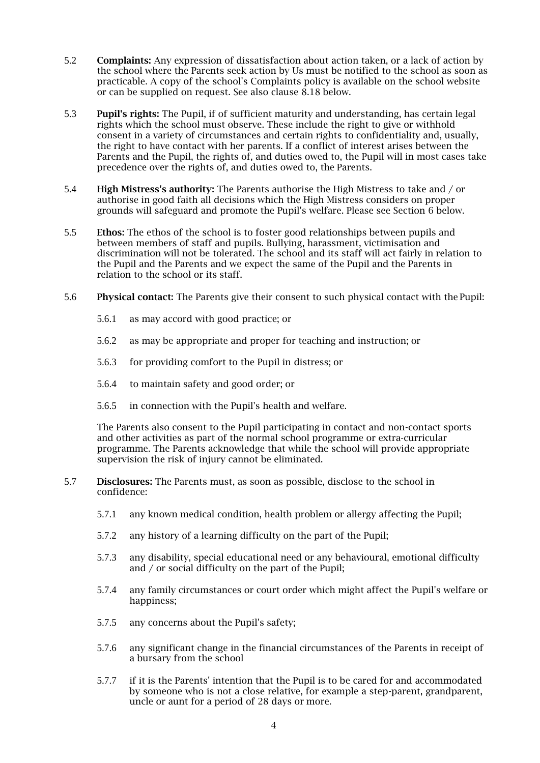- 5.2 Complaints: Any expression of dissatisfaction about action taken, or a lack of action by the school where the Parents seek action by Us must be notified to the school as soon as practicable. A copy of the school's Complaints policy is available on the school website or can be supplied on request. See also clause 8.18 below.
- 5.3 Pupil's rights: The Pupil, if of sufficient maturity and understanding, has certain legal rights which the school must observe. These include the right to give or withhold consent in a variety of circumstances and certain rights to confidentiality and, usually, the right to have contact with her parents. If a conflict of interest arises between the Parents and the Pupil, the rights of, and duties owed to, the Pupil will in most cases take precedence over the rights of, and duties owed to, the Parents.
- 5.4 High Mistress's authority: The Parents authorise the High Mistress to take and / or authorise in good faith all decisions which the High Mistress considers on proper grounds will safeguard and promote the Pupil's welfare. Please see Section 6 below.
- 5.5 Ethos: The ethos of the school is to foster good relationships between pupils and between members of staff and pupils. Bullying, harassment, victimisation and discrimination will not be tolerated. The school and its staff will act fairly in relation to the Pupil and the Parents and we expect the same of the Pupil and the Parents in relation to the school or its staff.
- 5.6 Physical contact: The Parents give their consent to such physical contact with the Pupil:
	- 5.6.1 as may accord with good practice; or
	- 5.6.2 as may be appropriate and proper for teaching and instruction; or
	- 5.6.3 for providing comfort to the Pupil in distress; or
	- 5.6.4 to maintain safety and good order; or
	- 5.6.5 in connection with the Pupil's health and welfare.

The Parents also consent to the Pupil participating in contact and non-contact sports and other activities as part of the normal school programme or extra-curricular programme. The Parents acknowledge that while the school will provide appropriate supervision the risk of injury cannot be eliminated.

- 5.7 Disclosures: The Parents must, as soon as possible, disclose to the school in confidence:
	- 5.7.1 any known medical condition, health problem or allergy affecting the Pupil;
	- 5.7.2 any history of a learning difficulty on the part of the Pupil;
	- 5.7.3 any disability, special educational need or any behavioural, emotional difficulty and / or social difficulty on the part of the Pupil;
	- 5.7.4 any family circumstances or court order which might affect the Pupil's welfare or happiness;
	- 5.7.5 any concerns about the Pupil's safety;
	- 5.7.6 any significant change in the financial circumstances of the Parents in receipt of a bursary from the school
	- 5.7.7 if it is the Parents' intention that the Pupil is to be cared for and accommodated by someone who is not a close relative, for example a step-parent, grandparent, uncle or aunt for a period of 28 days or more.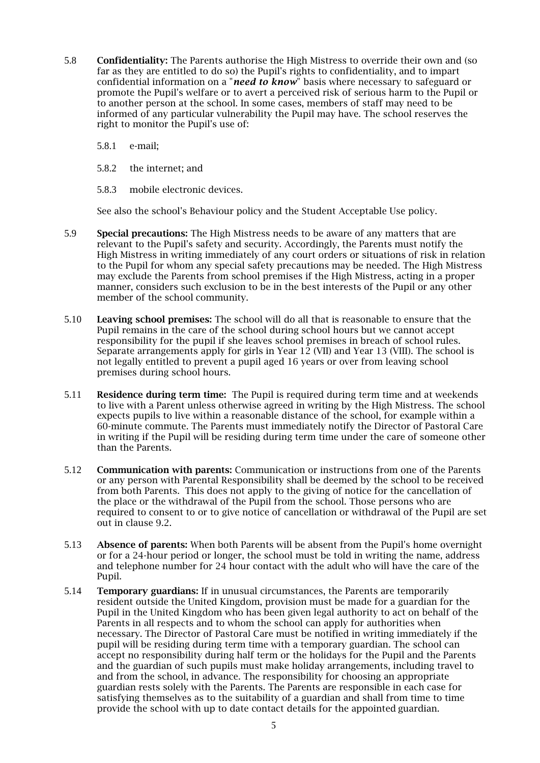- 5.8 Confidentiality: The Parents authorise the High Mistress to override their own and (so far as they are entitled to do so) the Pupil's rights to confidentiality, and to impart confidential information on a "*need to know*" basis where necessary to safeguard or promote the Pupil's welfare or to avert a perceived risk of serious harm to the Pupil or to another person at the school. In some cases, members of staff may need to be informed of any particular vulnerability the Pupil may have. The school reserves the right to monitor the Pupil's use of:
	- 5.8.1 e-mail;
	- 5.8.2 the internet; and
	- 5.8.3 mobile electronic devices.

See also the school's Behaviour policy and the Student Acceptable Use policy.

- 5.9 Special precautions: The High Mistress needs to be aware of any matters that are relevant to the Pupil's safety and security. Accordingly, the Parents must notify the High Mistress in writing immediately of any court orders or situations of risk in relation to the Pupil for whom any special safety precautions may be needed. The High Mistress may exclude the Parents from school premises if the High Mistress, acting in a proper manner, considers such exclusion to be in the best interests of the Pupil or any other member of the school community.
- 5.10 Leaving school premises: The school will do all that is reasonable to ensure that the Pupil remains in the care of the school during school hours but we cannot accept responsibility for the pupil if she leaves school premises in breach of school rules. Separate arrangements apply for girls in Year 12 (VII) and Year 13 (VIII). The school is not legally entitled to prevent a pupil aged 16 years or over from leaving school premises during school hours.
- 5.11 Residence during term time: The Pupil is required during term time and at weekends to live with a Parent unless otherwise agreed in writing by the High Mistress. The school expects pupils to live within a reasonable distance of the school, for example within a 60-minute commute. The Parents must immediately notify the Director of Pastoral Care in writing if the Pupil will be residing during term time under the care of someone other than the Parents.
- 5.12 Communication with parents: Communication or instructions from one of the Parents or any person with Parental Responsibility shall be deemed by the school to be received from both Parents. This does not apply to the giving of notice for the cancellation of the place or the withdrawal of the Pupil from the school. Those persons who are required to consent to or to give notice of cancellation or withdrawal of the Pupil are set out in clause 9.2.
- 5.13 Absence of parents: When both Parents will be absent from the Pupil's home overnight or for a 24-hour period or longer, the school must be told in writing the name, address and telephone number for 24 hour contact with the adult who will have the care of the Pupil.
- 5.14 Temporary guardians: If in unusual circumstances, the Parents are temporarily resident outside the United Kingdom, provision must be made for a guardian for the Pupil in the United Kingdom who has been given legal authority to act on behalf of the Parents in all respects and to whom the school can apply for authorities when necessary. The Director of Pastoral Care must be notified in writing immediately if the pupil will be residing during term time with a temporary guardian. The school can accept no responsibility during half term or the holidays for the Pupil and the Parents and the guardian of such pupils must make holiday arrangements, including travel to and from the school, in advance. The responsibility for choosing an appropriate guardian rests solely with the Parents. The Parents are responsible in each case for satisfying themselves as to the suitability of a guardian and shall from time to time provide the school with up to date contact details for the appointed guardian.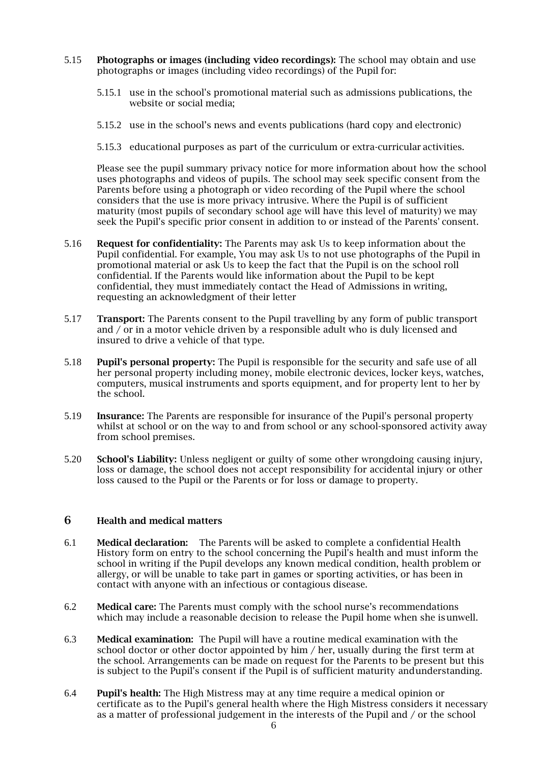- 5.15 Photographs or images (including video recordings): The school may obtain and use photographs or images (including video recordings) of the Pupil for:
	- 5.15.1 use in the school's promotional material such as admissions publications, the website or social media;
	- 5.15.2 use in the school's news and events publications (hard copy and electronic)
	- 5.15.3 educational purposes as part of the curriculum or extra-curricular activities.

Please see the pupil summary privacy notice for more information about how the school uses photographs and videos of pupils. The school may seek specific consent from the Parents before using a photograph or video recording of the Pupil where the school considers that the use is more privacy intrusive. Where the Pupil is of sufficient maturity (most pupils of secondary school age will have this level of maturity) we may seek the Pupil's specific prior consent in addition to or instead of the Parents' consent.

- 5.16 Request for confidentiality: The Parents may ask Us to keep information about the Pupil confidential. For example, You may ask Us to not use photographs of the Pupil in promotional material or ask Us to keep the fact that the Pupil is on the school roll confidential. If the Parents would like information about the Pupil to be kept confidential, they must immediately contact the Head of Admissions in writing, requesting an acknowledgment of their letter
- 5.17 Transport: The Parents consent to the Pupil travelling by any form of public transport and / or in a motor vehicle driven by a responsible adult who is duly licensed and insured to drive a vehicle of that type.
- 5.18 Pupil's personal property: The Pupil is responsible for the security and safe use of all her personal property including money, mobile electronic devices, locker keys, watches, computers, musical instruments and sports equipment, and for property lent to her by the school.
- 5.19 Insurance: The Parents are responsible for insurance of the Pupil's personal property whilst at school or on the way to and from school or any school-sponsored activity away from school premises.
- 5.20 School's Liability: Unless negligent or guilty of some other wrongdoing causing injury, loss or damage, the school does not accept responsibility for accidental injury or other loss caused to the Pupil or the Parents or for loss or damage to property.

#### 6 Health and medical matters

- 6.1 Medical declaration: The Parents will be asked to complete a confidential Health History form on entry to the school concerning the Pupil's health and must inform the school in writing if the Pupil develops any known medical condition, health problem or allergy, or will be unable to take part in games or sporting activities, or has been in contact with anyone with an infectious or contagious disease.
- 6.2 Medical care: The Parents must comply with the school nurse's recommendations which may include a reasonable decision to release the Pupil home when she isunwell.
- 6.3 Medical examination: The Pupil will have a routine medical examination with the school doctor or other doctor appointed by him / her, usually during the first term at the school. Arrangements can be made on request for the Parents to be present but this is subject to the Pupil's consent if the Pupil is of sufficient maturity andunderstanding.
- 6.4 Pupil's health: The High Mistress may at any time require a medical opinion or certificate as to the Pupil's general health where the High Mistress considers it necessary as a matter of professional judgement in the interests of the Pupil and / or the school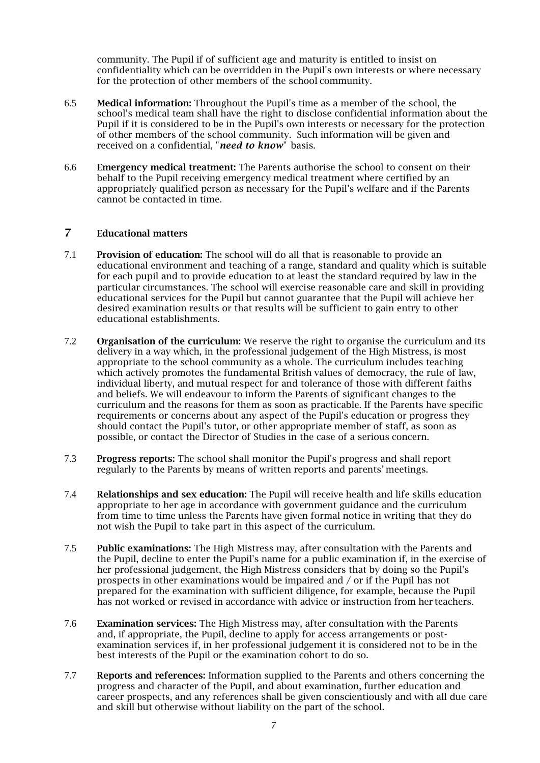community. The Pupil if of sufficient age and maturity is entitled to insist on confidentiality which can be overridden in the Pupil's own interests or where necessary for the protection of other members of the school community.

- 6.5 Medical information: Throughout the Pupil's time as a member of the school, the school's medical team shall have the right to disclose confidential information about the Pupil if it is considered to be in the Pupil's own interests or necessary for the protection of other members of the school community. Such information will be given and received on a confidential, "*need to know*" basis.
- 6.6 Emergency medical treatment: The Parents authorise the school to consent on their behalf to the Pupil receiving emergency medical treatment where certified by an appropriately qualified person as necessary for the Pupil's welfare and if the Parents cannot be contacted in time.

## 7 Educational matters

- 7.1 Provision of education: The school will do all that is reasonable to provide an educational environment and teaching of a range, standard and quality which is suitable for each pupil and to provide education to at least the standard required by law in the particular circumstances. The school will exercise reasonable care and skill in providing educational services for the Pupil but cannot guarantee that the Pupil will achieve her desired examination results or that results will be sufficient to gain entry to other educational establishments.
- 7.2 Organisation of the curriculum: We reserve the right to organise the curriculum and its delivery in a way which, in the professional judgement of the High Mistress, is most appropriate to the school community as a whole. The curriculum includes teaching which actively promotes the fundamental British values of democracy, the rule of law, individual liberty, and mutual respect for and tolerance of those with different faiths and beliefs. We will endeavour to inform the Parents of significant changes to the curriculum and the reasons for them as soon as practicable. If the Parents have specific requirements or concerns about any aspect of the Pupil's education or progress they should contact the Pupil's tutor, or other appropriate member of staff, as soon as possible, or contact the Director of Studies in the case of a serious concern.
- 7.3 Progress reports: The school shall monitor the Pupil's progress and shall report regularly to the Parents by means of written reports and parents' meetings.
- 7.4 Relationships and sex education: The Pupil will receive health and life skills education appropriate to her age in accordance with government guidance and the curriculum from time to time unless the Parents have given formal notice in writing that they do not wish the Pupil to take part in this aspect of the curriculum.
- 7.5 Public examinations: The High Mistress may, after consultation with the Parents and the Pupil, decline to enter the Pupil's name for a public examination if, in the exercise of her professional judgement, the High Mistress considers that by doing so the Pupil's prospects in other examinations would be impaired and / or if the Pupil has not prepared for the examination with sufficient diligence, for example, because the Pupil has not worked or revised in accordance with advice or instruction from her teachers.
- 7.6 Examination services: The High Mistress may, after consultation with the Parents and, if appropriate, the Pupil, decline to apply for access arrangements or postexamination services if, in her professional judgement it is considered not to be in the best interests of the Pupil or the examination cohort to do so.
- 7.7 Reports and references: Information supplied to the Parents and others concerning the progress and character of the Pupil, and about examination, further education and career prospects, and any references shall be given conscientiously and with all due care and skill but otherwise without liability on the part of the school.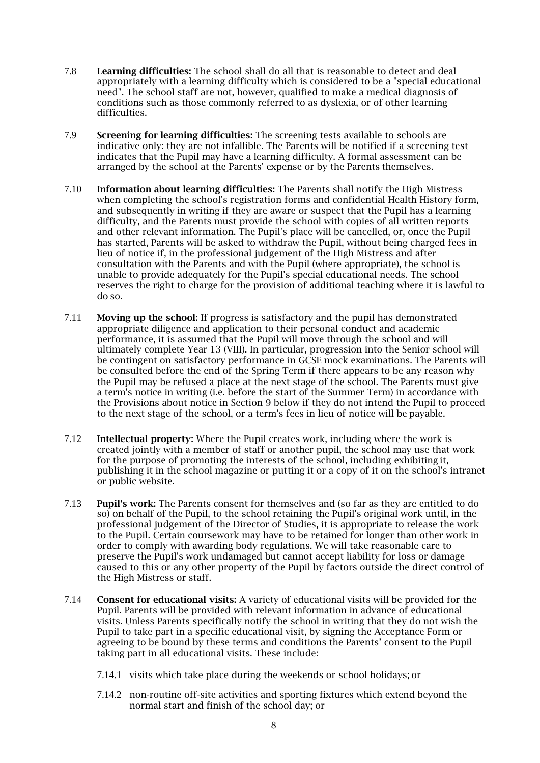- 7.8 Learning difficulties: The school shall do all that is reasonable to detect and deal appropriately with a learning difficulty which is considered to be a "special educational need". The school staff are not, however, qualified to make a medical diagnosis of conditions such as those commonly referred to as dyslexia, or of other learning difficulties.
- 7.9 Screening for learning difficulties: The screening tests available to schools are indicative only: they are not infallible. The Parents will be notified if a screening test indicates that the Pupil may have a learning difficulty. A formal assessment can be arranged by the school at the Parents' expense or by the Parents themselves.
- 7.10 Information about learning difficulties: The Parents shall notify the High Mistress when completing the school's registration forms and confidential Health History form, and subsequently in writing if they are aware or suspect that the Pupil has a learning difficulty, and the Parents must provide the school with copies of all written reports and other relevant information. The Pupil's place will be cancelled, or, once the Pupil has started, Parents will be asked to withdraw the Pupil, without being charged fees in lieu of notice if, in the professional judgement of the High Mistress and after consultation with the Parents and with the Pupil (where appropriate), the school is unable to provide adequately for the Pupil's special educational needs. The school reserves the right to charge for the provision of additional teaching where it is lawful to do so.
- 7.11 Moving up the school: If progress is satisfactory and the pupil has demonstrated appropriate diligence and application to their personal conduct and academic performance, it is assumed that the Pupil will move through the school and will ultimately complete Year 13 (VIII). In particular, progression into the Senior school will be contingent on satisfactory performance in GCSE mock examinations. The Parents will be consulted before the end of the Spring Term if there appears to be any reason why the Pupil may be refused a place at the next stage of the school. The Parents must give a term's notice in writing (i.e. before the start of the Summer Term) in accordance with the Provisions about notice in Section 9 below if they do not intend the Pupil to proceed to the next stage of the school, or a term's fees in lieu of notice will be payable.
- 7.12 Intellectual property: Where the Pupil creates work, including where the work is created jointly with a member of staff or another pupil, the school may use that work for the purpose of promoting the interests of the school, including exhibiting it, publishing it in the school magazine or putting it or a copy of it on the school's intranet or public website.
- 7.13 Pupil's work: The Parents consent for themselves and (so far as they are entitled to do so) on behalf of the Pupil, to the school retaining the Pupil's original work until, in the professional judgement of the Director of Studies, it is appropriate to release the work to the Pupil. Certain coursework may have to be retained for longer than other work in order to comply with awarding body regulations. We will take reasonable care to preserve the Pupil's work undamaged but cannot accept liability for loss or damage caused to this or any other property of the Pupil by factors outside the direct control of the High Mistress or staff.
- 7.14 Consent for educational visits: A variety of educational visits will be provided for the Pupil. Parents will be provided with relevant information in advance of educational visits. Unless Parents specifically notify the school in writing that they do not wish the Pupil to take part in a specific educational visit, by signing the Acceptance Form or agreeing to be bound by these terms and conditions the Parents' consent to the Pupil taking part in all educational visits. These include:
	- 7.14.1 visits which take place during the weekends or school holidays; or
	- 7.14.2 non-routine off-site activities and sporting fixtures which extend beyond the normal start and finish of the school day; or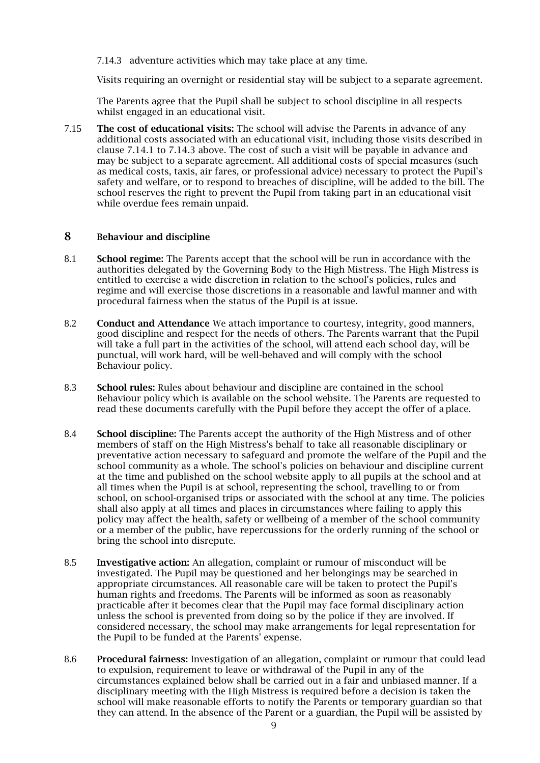7.14.3 adventure activities which may take place at any time.

Visits requiring an overnight or residential stay will be subject to a separate agreement.

The Parents agree that the Pupil shall be subject to school discipline in all respects whilst engaged in an educational visit.

7.15 The cost of educational visits: The school will advise the Parents in advance of any additional costs associated with an educational visit, including those visits described in clause 7.14.1 to 7.14.3 above. The cost of such a visit will be payable in advance and may be subject to a separate agreement. All additional costs of special measures (such as medical costs, taxis, air fares, or professional advice) necessary to protect the Pupil's safety and welfare, or to respond to breaches of discipline, will be added to the bill. The school reserves the right to prevent the Pupil from taking part in an educational visit while overdue fees remain unpaid.

### 8 Behaviour and discipline

- 8.1 School regime: The Parents accept that the school will be run in accordance with the authorities delegated by the Governing Body to the High Mistress. The High Mistress is entitled to exercise a wide discretion in relation to the school's policies, rules and regime and will exercise those discretions in a reasonable and lawful manner and with procedural fairness when the status of the Pupil is at issue.
- 8.2 Conduct and Attendance We attach importance to courtesy, integrity, good manners, good discipline and respect for the needs of others. The Parents warrant that the Pupil will take a full part in the activities of the school, will attend each school day, will be punctual, will work hard, will be well-behaved and will comply with the school Behaviour policy.
- 8.3 School rules: Rules about behaviour and discipline are contained in the school Behaviour policy which is available on the school website. The Parents are requested to read these documents carefully with the Pupil before they accept the offer of a place.
- 8.4 School discipline: The Parents accept the authority of the High Mistress and of other members of staff on the High Mistress's behalf to take all reasonable disciplinary or preventative action necessary to safeguard and promote the welfare of the Pupil and the school community as a whole. The school's policies on behaviour and discipline current at the time and published on the school website apply to all pupils at the school and at all times when the Pupil is at school, representing the school, travelling to or from school, on school-organised trips or associated with the school at any time. The policies shall also apply at all times and places in circumstances where failing to apply this policy may affect the health, safety or wellbeing of a member of the school community or a member of the public, have repercussions for the orderly running of the school or bring the school into disrepute.
- 8.5 Investigative action: An allegation, complaint or rumour of misconduct will be investigated. The Pupil may be questioned and her belongings may be searched in appropriate circumstances. All reasonable care will be taken to protect the Pupil's human rights and freedoms. The Parents will be informed as soon as reasonably practicable after it becomes clear that the Pupil may face formal disciplinary action unless the school is prevented from doing so by the police if they are involved. If considered necessary, the school may make arrangements for legal representation for the Pupil to be funded at the Parents' expense.
- 8.6 Procedural fairness: Investigation of an allegation, complaint or rumour that could lead to expulsion, requirement to leave or withdrawal of the Pupil in any of the circumstances explained below shall be carried out in a fair and unbiased manner. If a disciplinary meeting with the High Mistress is required before a decision is taken the school will make reasonable efforts to notify the Parents or temporary guardian so that they can attend. In the absence of the Parent or a guardian, the Pupil will be assisted by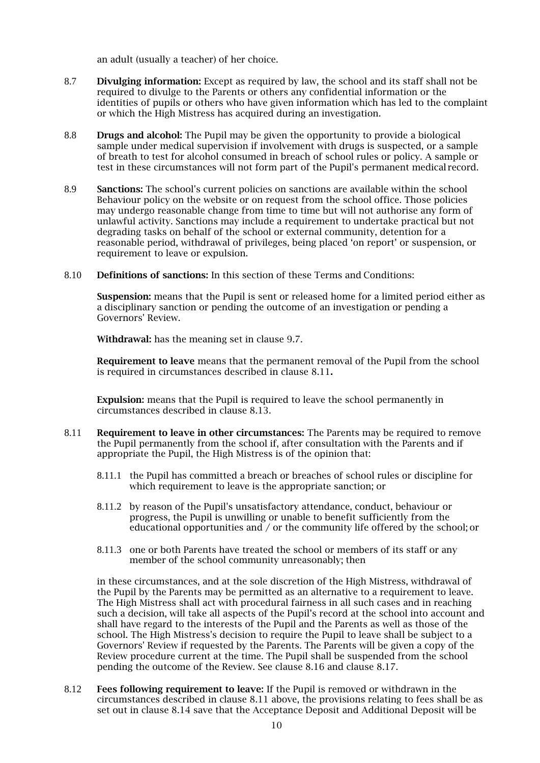an adult (usually a teacher) of her choice.

- 8.7 Divulging information: Except as required by law, the school and its staff shall not be required to divulge to the Parents or others any confidential information or the identities of pupils or others who have given information which has led to the complaint or which the High Mistress has acquired during an investigation.
- 8.8 Drugs and alcohol: The Pupil may be given the opportunity to provide a biological sample under medical supervision if involvement with drugs is suspected, or a sample of breath to test for alcohol consumed in breach of school rules or policy. A sample or test in these circumstances will not form part of the Pupil's permanent medical record.
- 8.9 Sanctions: The school's current policies on sanctions are available within the school Behaviour policy on the website or on request from the school office. Those policies may undergo reasonable change from time to time but will not authorise any form of unlawful activity. Sanctions may include a requirement to undertake practical but not degrading tasks on behalf of the school or external community, detention for a reasonable period, withdrawal of privileges, being placed 'on report' or suspension, or requirement to leave or expulsion.
- 8.10 Definitions of sanctions: In this section of these Terms and Conditions:

Suspension: means that the Pupil is sent or released home for a limited period either as a disciplinary sanction or pending the outcome of an investigation or pending a Governors' Review.

Withdrawal: has the meaning set in clause 9.7.

Requirement to leave means that the permanent removal of the Pupil from the school is required in circumstances described in clause 8.11.

Expulsion: means that the Pupil is required to leave the school permanently in circumstances described in clause 8.13.

- 8.11 Requirement to leave in other circumstances: The Parents may be required to remove the Pupil permanently from the school if, after consultation with the Parents and if appropriate the Pupil, the High Mistress is of the opinion that:
	- 8.11.1 the Pupil has committed a breach or breaches of school rules or discipline for which requirement to leave is the appropriate sanction; or
	- 8.11.2 by reason of the Pupil's unsatisfactory attendance, conduct, behaviour or progress, the Pupil is unwilling or unable to benefit sufficiently from the educational opportunities and  $/$  or the community life offered by the school; or
	- 8.11.3 one or both Parents have treated the school or members of its staff or any member of the school community unreasonably; then

in these circumstances, and at the sole discretion of the High Mistress, withdrawal of the Pupil by the Parents may be permitted as an alternative to a requirement to leave. The High Mistress shall act with procedural fairness in all such cases and in reaching such a decision, will take all aspects of the Pupil's record at the school into account and shall have regard to the interests of the Pupil and the Parents as well as those of the school. The High Mistress's decision to require the Pupil to leave shall be subject to a Governors' Review if requested by the Parents. The Parents will be given a copy of the Review procedure current at the time. The Pupil shall be suspended from the school pending the outcome of the Review. See clause 8.16 and clause 8.17.

8.12 Fees following requirement to leave: If the Pupil is removed or withdrawn in the circumstances described in clause 8.11 above, the provisions relating to fees shall be as set out in clause 8.14 save that the Acceptance Deposit and Additional Deposit will be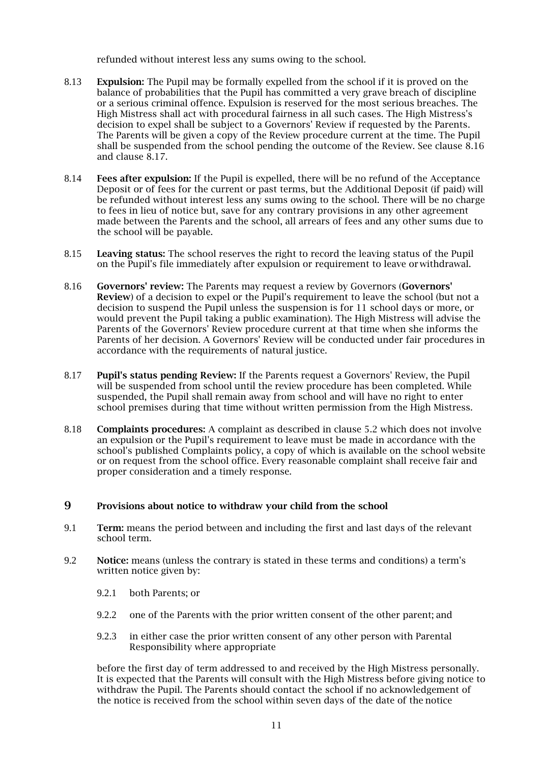refunded without interest less any sums owing to the school.

- 8.13 Expulsion: The Pupil may be formally expelled from the school if it is proved on the balance of probabilities that the Pupil has committed a very grave breach of discipline or a serious criminal offence. Expulsion is reserved for the most serious breaches. The High Mistress shall act with procedural fairness in all such cases. The High Mistress's decision to expel shall be subject to a Governors' Review if requested by the Parents. The Parents will be given a copy of the Review procedure current at the time. The Pupil shall be suspended from the school pending the outcome of the Review. See clause 8.16 and clause 8.17.
- 8.14 **Fees after expulsion:** If the Pupil is expelled, there will be no refund of the Acceptance Deposit or of fees for the current or past terms, but the Additional Deposit (if paid) will be refunded without interest less any sums owing to the school. There will be no charge to fees in lieu of notice but, save for any contrary provisions in any other agreement made between the Parents and the school, all arrears of fees and any other sums due to the school will be payable.
- 8.15 Leaving status: The school reserves the right to record the leaving status of the Pupil on the Pupil's file immediately after expulsion or requirement to leave orwithdrawal.
- 8.16 Governors' review: The Parents may request a review by Governors (Governors' Review) of a decision to expel or the Pupil's requirement to leave the school (but not a decision to suspend the Pupil unless the suspension is for 11 school days or more, or would prevent the Pupil taking a public examination). The High Mistress will advise the Parents of the Governors' Review procedure current at that time when she informs the Parents of her decision. A Governors' Review will be conducted under fair procedures in accordance with the requirements of natural justice.
- 8.17 Pupil's status pending Review: If the Parents request a Governors' Review, the Pupil will be suspended from school until the review procedure has been completed. While suspended, the Pupil shall remain away from school and will have no right to enter school premises during that time without written permission from the High Mistress.
- 8.18 Complaints procedures: A complaint as described in clause 5.2 which does not involve an expulsion or the Pupil's requirement to leave must be made in accordance with the school's published Complaints policy, a copy of which is available on the school website or on request from the school office. Every reasonable complaint shall receive fair and proper consideration and a timely response.

### 9 Provisions about notice to withdraw your child from the school

- 9.1 Term: means the period between and including the first and last days of the relevant school term.
- 9.2 Notice: means (unless the contrary is stated in these terms and conditions) a term's written notice given by:
	- 9.2.1 both Parents; or
	- 9.2.2 one of the Parents with the prior written consent of the other parent; and
	- 9.2.3 in either case the prior written consent of any other person with Parental Responsibility where appropriate

before the first day of term addressed to and received by the High Mistress personally. It is expected that the Parents will consult with the High Mistress before giving notice to withdraw the Pupil. The Parents should contact the school if no acknowledgement of the notice is received from the school within seven days of the date of the notice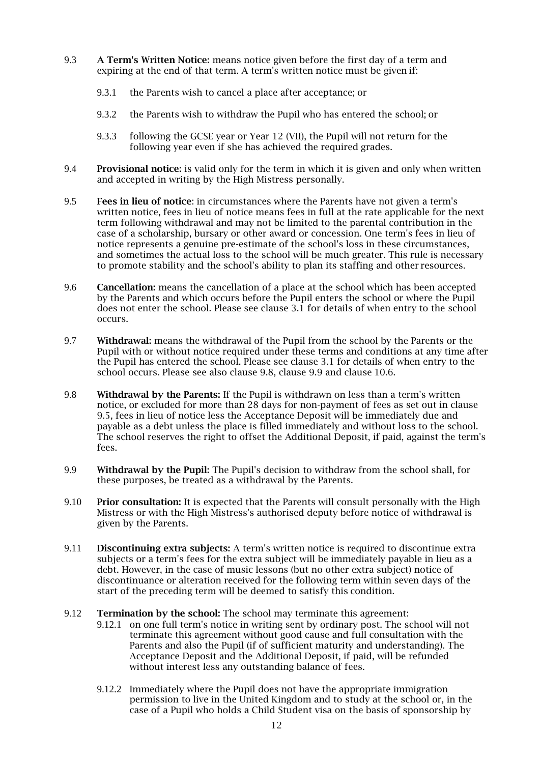- 9.3 A Term's Written Notice: means notice given before the first day of a term and expiring at the end of that term. A term's written notice must be given if:
	- 9.3.1 the Parents wish to cancel a place after acceptance; or
	- 9.3.2 the Parents wish to withdraw the Pupil who has entered the school; or
	- 9.3.3 following the GCSE year or Year 12 (VII), the Pupil will not return for the following year even if she has achieved the required grades.
- 9.4 Provisional notice: is valid only for the term in which it is given and only when written and accepted in writing by the High Mistress personally.
- 9.5 Fees in lieu of notice: in circumstances where the Parents have not given a term's written notice, fees in lieu of notice means fees in full at the rate applicable for the next term following withdrawal and may not be limited to the parental contribution in the case of a scholarship, bursary or other award or concession. One term's fees in lieu of notice represents a genuine pre-estimate of the school's loss in these circumstances, and sometimes the actual loss to the school will be much greater. This rule is necessary to promote stability and the school's ability to plan its staffing and other resources.
- 9.6 Cancellation: means the cancellation of a place at the school which has been accepted by the Parents and which occurs before the Pupil enters the school or where the Pupil does not enter the school. Please see clause 3.1 for details of when entry to the school occurs.
- 9.7 Withdrawal: means the withdrawal of the Pupil from the school by the Parents or the Pupil with or without notice required under these terms and conditions at any time after the Pupil has entered the school. Please see clause 3.1 for details of when entry to the school occurs. Please see also clause 9.8, clause 9.9 and clause 10.6.
- 9.8 Withdrawal by the Parents: If the Pupil is withdrawn on less than a term's written notice, or excluded for more than 28 days for non-payment of fees as set out in clause 9.5, fees in lieu of notice less the Acceptance Deposit will be immediately due and payable as a debt unless the place is filled immediately and without loss to the school. The school reserves the right to offset the Additional Deposit, if paid, against the term's fees.
- 9.9 Withdrawal by the Pupil: The Pupil's decision to withdraw from the school shall, for these purposes, be treated as a withdrawal by the Parents.
- 9.10 Prior consultation: It is expected that the Parents will consult personally with the High Mistress or with the High Mistress's authorised deputy before notice of withdrawal is given by the Parents.
- 9.11 **Discontinuing extra subjects:** A term's written notice is required to discontinue extra subjects or a term's fees for the extra subject will be immediately payable in lieu as a debt. However, in the case of music lessons (but no other extra subject) notice of discontinuance or alteration received for the following term within seven days of the start of the preceding term will be deemed to satisfy this condition.
- 9.12 **Termination by the school:** The school may terminate this agreement:
	- 9.12.1 on one full term's notice in writing sent by ordinary post. The school will not terminate this agreement without good cause and full consultation with the Parents and also the Pupil (if of sufficient maturity and understanding). The Acceptance Deposit and the Additional Deposit, if paid, will be refunded without interest less any outstanding balance of fees.
	- 9.12.2 Immediately where the Pupil does not have the appropriate immigration permission to live in the United Kingdom and to study at the school or, in the case of a Pupil who holds a Child Student visa on the basis of sponsorship by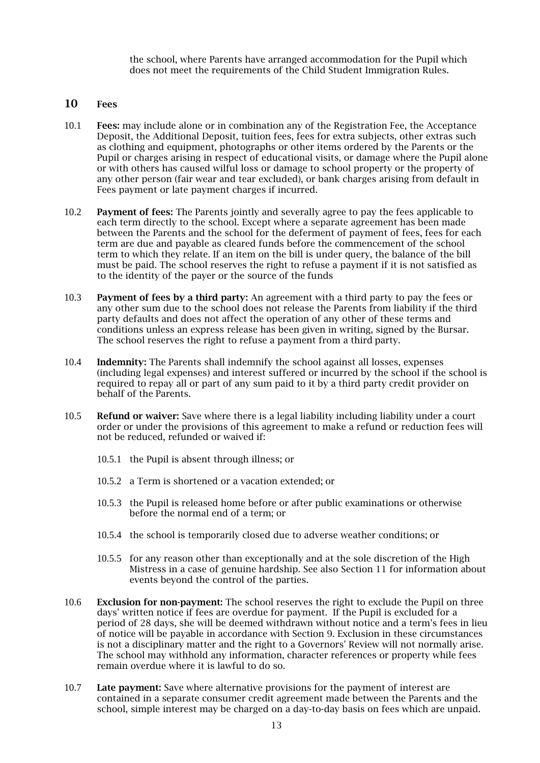the school, where Parents have arranged accommodation for the Pupil which does not meet the requirements of the Child Student Immigration Rules.

### 10 Fees

- 10.1 Fees: may include alone or in combination any of the Registration Fee, the Acceptance Deposit, the Additional Deposit, tuition fees, fees for extra subjects, other extras such as clothing and equipment, photographs or other items ordered by the Parents or the Pupil or charges arising in respect of educational visits, or damage where the Pupil alone or with others has caused wilful loss or damage to school property or the property of any other person (fair wear and tear excluded), or bank charges arising from default in Fees payment or late payment charges if incurred.
- 10.2 Payment of fees: The Parents jointly and severally agree to pay the fees applicable to each term directly to the school. Except where a separate agreement has been made between the Parents and the school for the deferment of payment of fees, fees for each term are due and payable as cleared funds before the commencement of the school term to which they relate. If an item on the bill is under query, the balance of the bill must be paid. The school reserves the right to refuse a payment if it is not satisfied as to the identity of the payer or the source of the funds
- 10.3 Payment of fees by a third party: An agreement with a third party to pay the fees or any other sum due to the school does not release the Parents from liability if the third party defaults and does not affect the operation of any other of these terms and conditions unless an express release has been given in writing, signed by the Bursar. The school reserves the right to refuse a payment from a third party.
- 10.4 Indemnity: The Parents shall indemnify the school against all losses, expenses (including legal expenses) and interest suffered or incurred by the school if the school is required to repay all or part of any sum paid to it by a third party credit provider on behalf of the Parents.
- 10.5 Refund or waiver: Save where there is a legal liability including liability under a court order or under the provisions of this agreement to make a refund or reduction fees will not be reduced, refunded or waived if:
	- 10.5.1 the Pupil is absent through illness; or
	- 10.5.2 a Term is shortened or a vacation extended; or
	- 10.5.3 the Pupil is released home before or after public examinations or otherwise before the normal end of a term; or
	- 10.5.4 the school is temporarily closed due to adverse weather conditions; or
	- 10.5.5 for any reason other than exceptionally and at the sole discretion of the High Mistress in a case of genuine hardship. See also Section 11 for information about events beyond the control of the parties.
- 10.6 Exclusion for non-payment: The school reserves the right to exclude the Pupil on three days' written notice if fees are overdue for payment. If the Pupil is excluded for a period of 28 days, she will be deemed withdrawn without notice and a term's fees in lieu of notice will be payable in accordance with Section 9. Exclusion in these circumstances is not a disciplinary matter and the right to a Governors' Review will not normally arise. The school may withhold any information, character references or property while fees remain overdue where it is lawful to do so.
- 10.7 Late payment: Save where alternative provisions for the payment of interest are contained in a separate consumer credit agreement made between the Parents and the school, simple interest may be charged on a day-to-day basis on fees which are unpaid.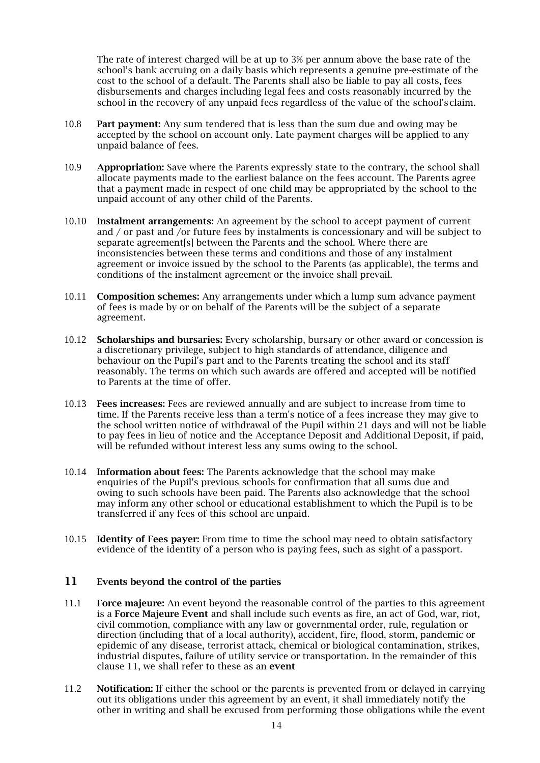The rate of interest charged will be at up to 3% per annum above the base rate of the school's bank accruing on a daily basis which represents a genuine pre-estimate of the cost to the school of a default. The Parents shall also be liable to pay all costs, fees disbursements and charges including legal fees and costs reasonably incurred by the school in the recovery of any unpaid fees regardless of the value of the school'sclaim.

- 10.8 Part payment: Any sum tendered that is less than the sum due and owing may be accepted by the school on account only. Late payment charges will be applied to any unpaid balance of fees.
- 10.9 Appropriation: Save where the Parents expressly state to the contrary, the school shall allocate payments made to the earliest balance on the fees account. The Parents agree that a payment made in respect of one child may be appropriated by the school to the unpaid account of any other child of the Parents.
- 10.10 Instalment arrangements: An agreement by the school to accept payment of current and / or past and /or future fees by instalments is concessionary and will be subject to separate agreement[s] between the Parents and the school. Where there are inconsistencies between these terms and conditions and those of any instalment agreement or invoice issued by the school to the Parents (as applicable), the terms and conditions of the instalment agreement or the invoice shall prevail.
- 10.11 **Composition schemes:** Any arrangements under which a lump sum advance payment of fees is made by or on behalf of the Parents will be the subject of a separate agreement.
- 10.12 **Scholarships and bursaries:** Every scholarship, bursary or other award or concession is a discretionary privilege, subject to high standards of attendance, diligence and behaviour on the Pupil's part and to the Parents treating the school and its staff reasonably. The terms on which such awards are offered and accepted will be notified to Parents at the time of offer.
- 10.13 Fees increases: Fees are reviewed annually and are subject to increase from time to time. If the Parents receive less than a term's notice of a fees increase they may give to the school written notice of withdrawal of the Pupil within 21 days and will not be liable to pay fees in lieu of notice and the Acceptance Deposit and Additional Deposit, if paid, will be refunded without interest less any sums owing to the school.
- 10.14 Information about fees: The Parents acknowledge that the school may make enquiries of the Pupil's previous schools for confirmation that all sums due and owing to such schools have been paid. The Parents also acknowledge that the school may inform any other school or educational establishment to which the Pupil is to be transferred if any fees of this school are unpaid.
- 10.15 **Identity of Fees payer:** From time to time the school may need to obtain satisfactory evidence of the identity of a person who is paying fees, such as sight of a passport.

## 11 Events beyond the control of the parties

- 11.1 **Force majeure:** An event beyond the reasonable control of the parties to this agreement is a Force Majeure Event and shall include such events as fire, an act of God, war, riot, civil commotion, compliance with any law or governmental order, rule, regulation or direction (including that of a local authority), accident, fire, flood, storm, pandemic or epidemic of any disease, terrorist attack, chemical or biological contamination, strikes, industrial disputes, failure of utility service or transportation. In the remainder of this clause 11, we shall refer to these as an event
- 11.2 Notification: If either the school or the parents is prevented from or delayed in carrying out its obligations under this agreement by an event, it shall immediately notify the other in writing and shall be excused from performing those obligations while the event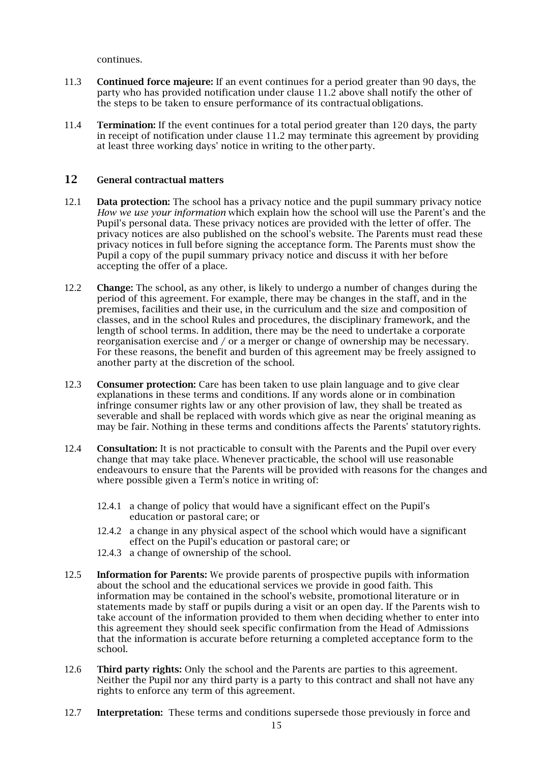continues.

- 11.3 Continued force majeure: If an event continues for a period greater than 90 days, the party who has provided notification under clause 11.2 above shall notify the other of the steps to be taken to ensure performance of its contractual obligations.
- 11.4 **Termination:** If the event continues for a total period greater than 120 days, the party in receipt of notification under clause 11.2 may terminate this agreement by providing at least three working days' notice in writing to the otherparty.

## 12 General contractual matters

- 12.1 Data protection: The school has a privacy notice and the pupil summary privacy notice *How we use your information* which explain how the school will use the Parent's and the Pupil's personal data. These privacy notices are provided with the letter of offer. The privacy notices are also published on the school's website. The Parents must read these privacy notices in full before signing the acceptance form. The Parents must show the Pupil a copy of the pupil summary privacy notice and discuss it with her before accepting the offer of a place.
- 12.2 Change: The school, as any other, is likely to undergo a number of changes during the period of this agreement. For example, there may be changes in the staff, and in the premises, facilities and their use, in the curriculum and the size and composition of classes, and in the school Rules and procedures, the disciplinary framework, and the length of school terms. In addition, there may be the need to undertake a corporate reorganisation exercise and / or a merger or change of ownership may be necessary. For these reasons, the benefit and burden of this agreement may be freely assigned to another party at the discretion of the school.
- 12.3 Consumer protection: Care has been taken to use plain language and to give clear explanations in these terms and conditions. If any words alone or in combination infringe consumer rights law or any other provision of law, they shall be treated as severable and shall be replaced with words which give as near the original meaning as may be fair. Nothing in these terms and conditions affects the Parents' statutoryrights.
- 12.4 Consultation: It is not practicable to consult with the Parents and the Pupil over every change that may take place. Whenever practicable, the school will use reasonable endeavours to ensure that the Parents will be provided with reasons for the changes and where possible given a Term's notice in writing of:
	- 12.4.1 a change of policy that would have a significant effect on the Pupil's education or pastoral care; or
	- 12.4.2 a change in any physical aspect of the school which would have a significant effect on the Pupil's education or pastoral care; or
	- 12.4.3 a change of ownership of the school.
- 12.5 Information for Parents: We provide parents of prospective pupils with information about the school and the educational services we provide in good faith. This information may be contained in the school's website, promotional literature or in statements made by staff or pupils during a visit or an open day. If the Parents wish to take account of the information provided to them when deciding whether to enter into this agreement they should seek specific confirmation from the Head of Admissions that the information is accurate before returning a completed acceptance form to the school.
- 12.6 Third party rights: Only the school and the Parents are parties to this agreement. Neither the Pupil nor any third party is a party to this contract and shall not have any rights to enforce any term of this agreement.
- 12.7 **Interpretation:** These terms and conditions supersede those previously in force and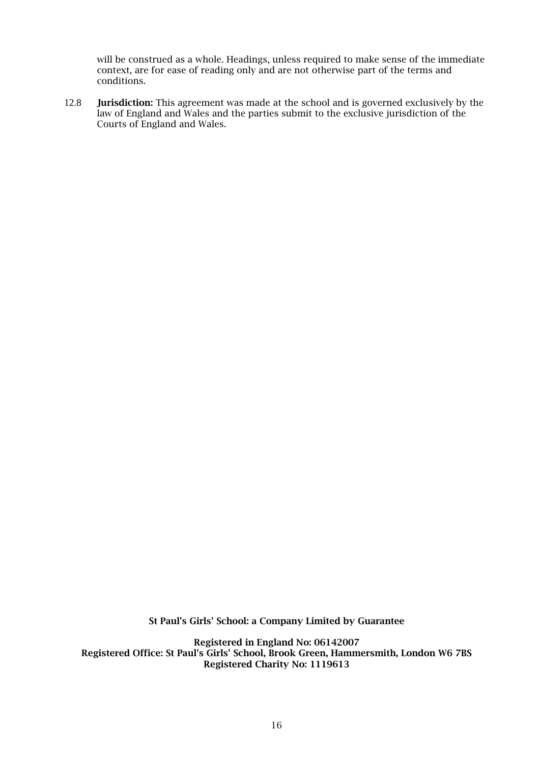will be construed as a whole. Headings, unless required to make sense of the immediate context, are for ease of reading only and are not otherwise part of the terms and conditions.

12.8 **Jurisdiction:** This agreement was made at the school and is governed exclusively by the law of England and Wales and the parties submit to the exclusive jurisdiction of the Courts of England and Wales.

St Paul's Girls' School: a Company Limited by Guarantee

Registered in England No: 06142007 Registered Office: St Paul's Girls' School, Brook Green, Hammersmith, London W6 7BS Registered Charity No: 1119613